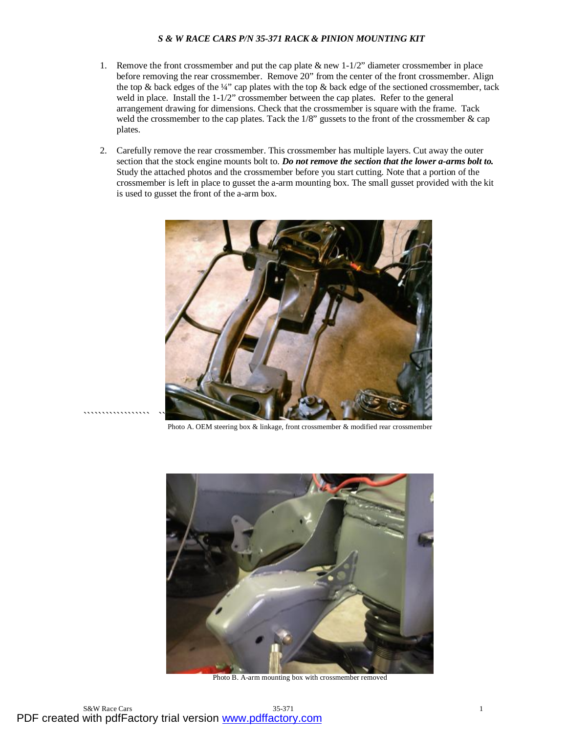- 1. Remove the front crossmember and put the cap plate  $\&$  new 1-1/2" diameter crossmember in place before removing the rear crossmember. Remove 20" from the center of the front crossmember. Align the top  $\&$  back edges of the ¼" cap plates with the top  $\&$  back edge of the sectioned crossmember, tack weld in place. Install the 1-1/2" crossmember between the cap plates. Refer to the general arrangement drawing for dimensions. Check that the crossmember is square with the frame. Tack weld the crossmember to the cap plates. Tack the 1/8" gussets to the front of the crossmember & cap plates.
- 2. Carefully remove the rear crossmember. This crossmember has multiple layers. Cut away the outer section that the stock engine mounts bolt to. *Do not remove the section that the lower a-arms bolt to.* Study the attached photos and the crossmember before you start cutting. Note that a portion of the crossmember is left in place to gusset the a-arm mounting box. The small gusset provided with the kit is used to gusset the front of the a-arm box.



Photo A. OEM steering box & linkage, front crossmember & modified rear crossmember



Photo B. A-arm mounting box with crossmember removed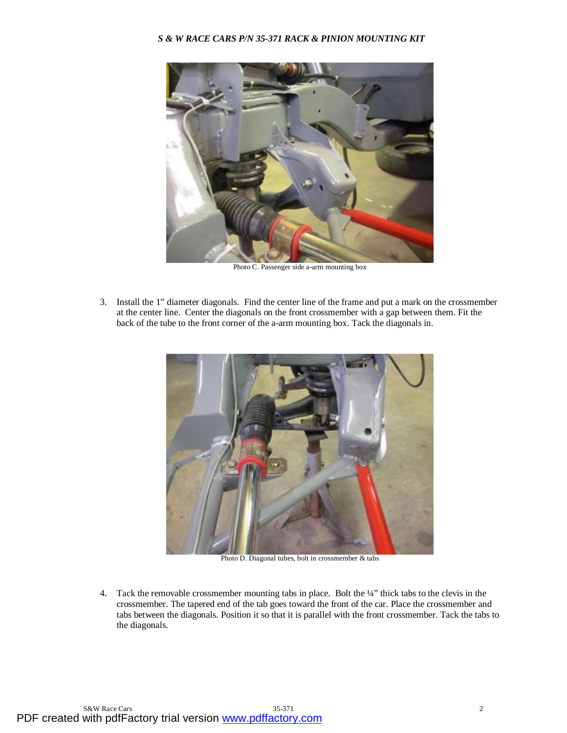

Photo C. Passenger side a-arm mounting box

3. Install the 1" diameter diagonals. Find the center line of the frame and put a mark on the crossmember at the center line. Center the diagonals on the front crossmember with a gap between them. Fit the back of the tube to the front corner of the a-arm mounting box. Tack the diagonals in.



Photo D. Diagonal tubes, bolt in crossmember & tabs

4. Tack the removable crossmember mounting tabs in place. Bolt the ¼" thick tabs to the clevis in the crossmember. The tapered end of the tab goes toward the front of the car. Place the crossmember and tabs between the diagonals. Position it so that it is parallel with the front crossmember. Tack the tabs to the diagonals.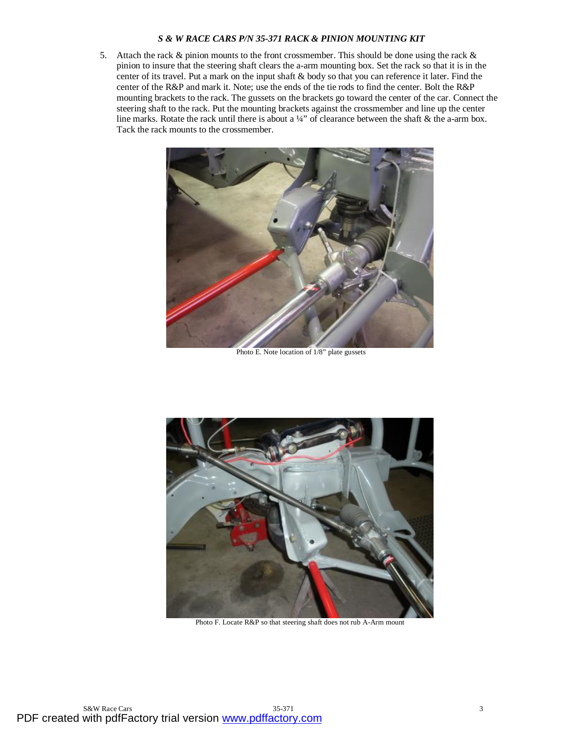5. Attach the rack  $\&$  pinion mounts to the front crossmember. This should be done using the rack  $\&$ pinion to insure that the steering shaft clears the a-arm mounting box. Set the rack so that it is in the center of its travel. Put a mark on the input shaft & body so that you can reference it later. Find the center of the R&P and mark it. Note; use the ends of the tie rods to find the center. Bolt the R&P mounting brackets to the rack. The gussets on the brackets go toward the center of the car. Connect the steering shaft to the rack. Put the mounting brackets against the crossmember and line up the center line marks. Rotate the rack until there is about a  $\frac{1}{4}$ " of clearance between the shaft & the a-arm box. Tack the rack mounts to the crossmember.



Photo E. Note location of 1/8" plate gussets



Photo F. Locate R&P so that steering shaft does not rub A-Arm mount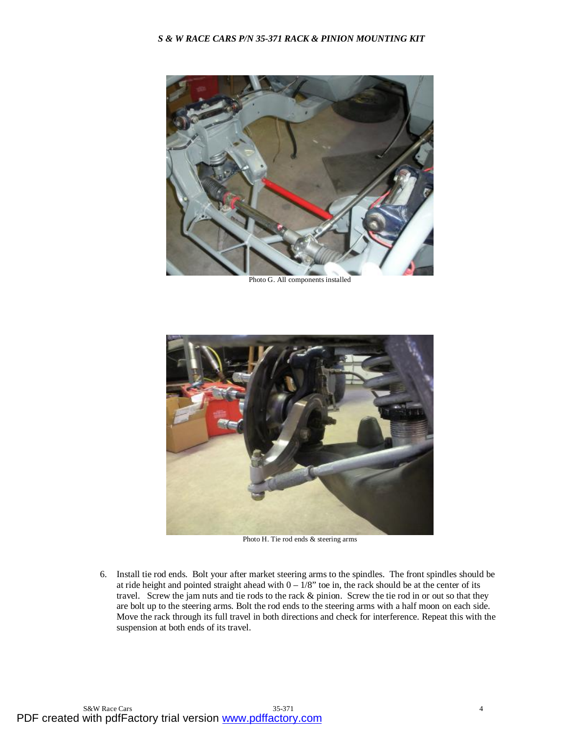

Photo G. All components installed



Photo H. Tie rod ends & steering arms

6. Install tie rod ends. Bolt your after market steering arms to the spindles. The front spindles should be at ride height and pointed straight ahead with  $0 - 1/8$ " toe in, the rack should be at the center of its travel. Screw the jam nuts and tie rods to the rack & pinion. Screw the tie rod in or out so that they are bolt up to the steering arms. Bolt the rod ends to the steering arms with a half moon on each side. Move the rack through its full travel in both directions and check for interference. Repeat this with the suspension at both ends of its travel.